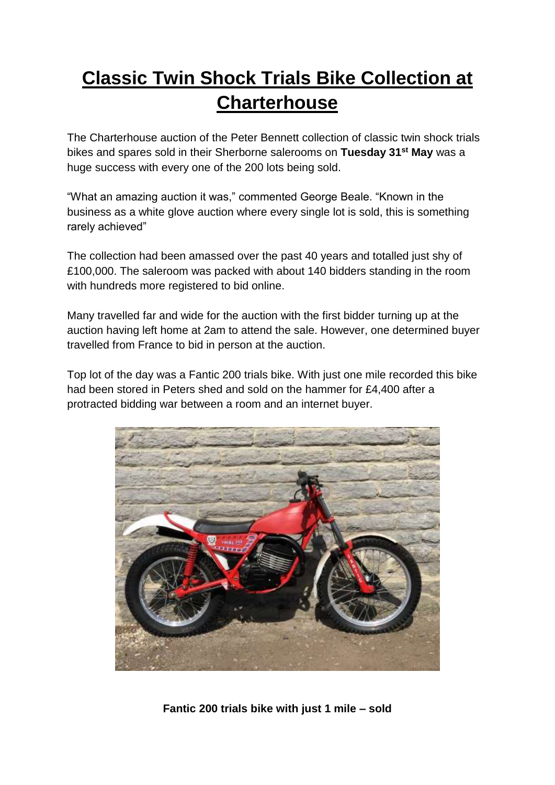## **Classic Twin Shock Trials Bike Collection at Charterhouse**

The Charterhouse auction of the Peter Bennett collection of classic twin shock trials bikes and spares sold in their Sherborne salerooms on **Tuesday 31st May** was a huge success with every one of the 200 lots being sold.

"What an amazing auction it was," commented George Beale. "Known in the business as a white glove auction where every single lot is sold, this is something rarely achieved"

The collection had been amassed over the past 40 years and totalled just shy of £100,000. The saleroom was packed with about 140 bidders standing in the room with hundreds more registered to bid online.

Many travelled far and wide for the auction with the first bidder turning up at the auction having left home at 2am to attend the sale. However, one determined buyer travelled from France to bid in person at the auction.

Top lot of the day was a Fantic 200 trials bike. With just one mile recorded this bike had been stored in Peters shed and sold on the hammer for £4,400 after a protracted bidding war between a room and an internet buyer.



**Fantic 200 trials bike with just 1 mile – sold**